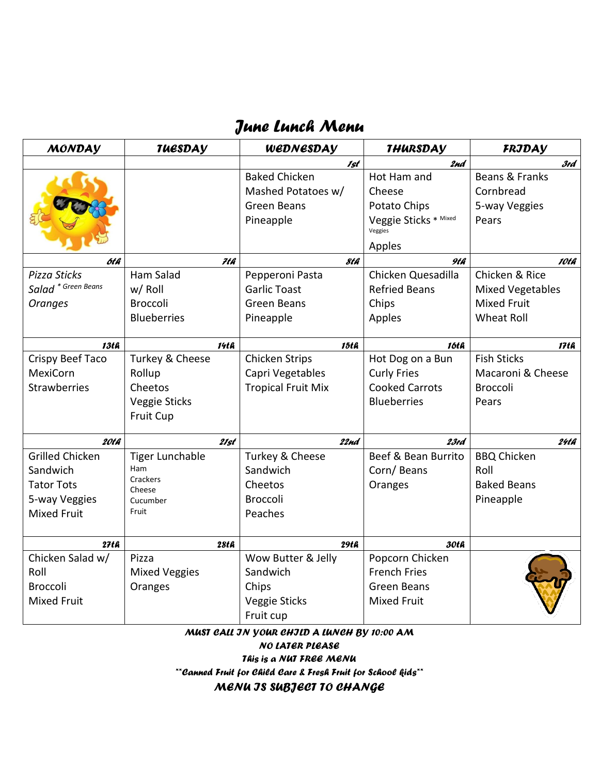## *June Lunch Menu*

| <b>MONDAY</b>                  | <b>TUESDAV</b>         | WEDNESDAY                 | <b>THURSDAY</b>                  | FRJDAY                  |
|--------------------------------|------------------------|---------------------------|----------------------------------|-------------------------|
|                                |                        | 1st                       | 2nd                              | 3rd                     |
|                                |                        | <b>Baked Chicken</b>      | Hot Ham and                      | Beans & Franks          |
|                                |                        | Mashed Potatoes w/        | Cheese                           | Cornbread               |
|                                |                        | <b>Green Beans</b>        | Potato Chips                     | 5-way Veggies           |
|                                |                        | Pineapple                 | Veggie Sticks * Mixed<br>Veggies | Pears                   |
|                                |                        |                           | Apples                           |                         |
| 6t h                           | 7th                    | 8th                       | 9th                              | 10th                    |
| Pizza Sticks                   | <b>Ham Salad</b>       | Pepperoni Pasta           | Chicken Quesadilla               | Chicken & Rice          |
| Salad <sup>*</sup> Green Beans | w/ Roll                | <b>Garlic Toast</b>       | <b>Refried Beans</b>             | <b>Mixed Vegetables</b> |
| <b>Oranges</b>                 | <b>Broccoli</b>        | Green Beans               | Chips                            | <b>Mixed Fruit</b>      |
|                                | <b>Blueberries</b>     | Pineapple                 | Apples                           | <b>Wheat Roll</b>       |
|                                |                        |                           |                                  |                         |
| <b>13th</b>                    | <b>14th</b>            | 15th                      | 16th                             | 17th                    |
| Crispy Beef Taco               | Turkey & Cheese        | <b>Chicken Strips</b>     | Hot Dog on a Bun                 | <b>Fish Sticks</b>      |
| <b>MexiCorn</b>                | Rollup                 | Capri Vegetables          | <b>Curly Fries</b>               | Macaroni & Cheese       |
| <b>Strawberries</b>            | Cheetos                | <b>Tropical Fruit Mix</b> | <b>Cooked Carrots</b>            | <b>Broccoli</b>         |
|                                | Veggie Sticks          |                           | <b>Blueberries</b>               | Pears                   |
|                                | Fruit Cup              |                           |                                  |                         |
| 20th                           | 21st                   | 22nd                      | 23rd                             | 24th                    |
| <b>Grilled Chicken</b>         | <b>Tiger Lunchable</b> | Turkey & Cheese           | Beef & Bean Burrito              | <b>BBQ Chicken</b>      |
| Sandwich                       | Ham                    | Sandwich                  | Corn/Beans                       | Roll                    |
| <b>Tator Tots</b>              | Crackers<br>Cheese     | Cheetos                   | Oranges                          | <b>Baked Beans</b>      |
| 5-way Veggies                  | Cucumber               | <b>Broccoli</b>           |                                  | Pineapple               |
| <b>Mixed Fruit</b>             | Fruit                  | Peaches                   |                                  |                         |
|                                |                        |                           |                                  |                         |
| 27tG                           | 28th                   | 29th                      | 30th                             |                         |
| Chicken Salad w/               | Pizza                  | Wow Butter & Jelly        | Popcorn Chicken                  |                         |
| Roll                           | <b>Mixed Veggies</b>   | Sandwich                  | <b>French Fries</b>              |                         |
| <b>Broccoli</b>                | Oranges                | Chips                     | <b>Green Beans</b>               |                         |
| <b>Mixed Fruit</b>             |                        | Veggie Sticks             | <b>Mixed Fruit</b>               |                         |
|                                |                        | Fruit cup                 |                                  |                         |

*MUST CALL IN YOUR CHILD A LUNCH BY 10:00 AM NO LATER PLEASE This is a NUT FREE MENU*

*\*\*Canned Fruit for Child Care & Fresh Fruit for School kids\*\**

*MENU IS SUBJECT TO CHANGE*